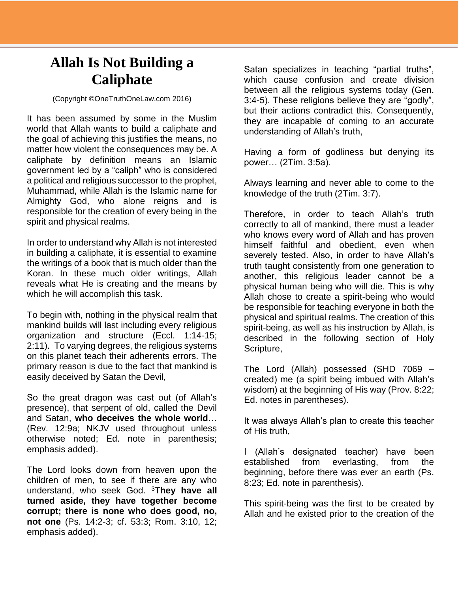## **Allah Is Not Building a Caliphate**

(Copyright ©OneTruthOneLaw.com 2016)

It has been assumed by some in the Muslim world that Allah wants to build a caliphate and the goal of achieving this justifies the means, no matter how violent the consequences may be. A caliphate by definition means an Islamic government led by a "caliph" who is considered a political and religious successor to the prophet, Muhammad, while Allah is the Islamic name for Almighty God, who alone reigns and is responsible for the creation of every being in the spirit and physical realms.

In order to understand why Allah is not interested in building a caliphate, it is essential to examine the writings of a book that is much older than the Koran. In these much older writings, Allah reveals what He is creating and the means by which he will accomplish this task.

To begin with, nothing in the physical realm that mankind builds will last including every religious organization and structure (Eccl. 1:14-15; 2:11). To varying degrees, the religious systems on this planet teach their adherents errors. The primary reason is due to the fact that mankind is easily deceived by Satan the Devil,

So the great dragon was cast out (of Allah's presence), that serpent of old, called the Devil and Satan, **who deceives the whole world**… (Rev. 12:9a; NKJV used throughout unless otherwise noted; Ed. note in parenthesis; emphasis added).

The Lord looks down from heaven upon the children of men, to see if there are any who understand, who seek God. <sup>3</sup>**They have all turned aside, they have together become corrupt; there is none who does good, no, not one** (Ps. 14:2-3; cf. 53:3; Rom. 3:10, 12; emphasis added).

Satan specializes in teaching "partial truths", which cause confusion and create division between all the religious systems today (Gen. 3:4-5). These religions believe they are "godly", but their actions contradict this. Consequently, they are incapable of coming to an accurate understanding of Allah's truth,

Having a form of godliness but denying its power… (2Tim. 3:5a).

Always learning and never able to come to the knowledge of the truth (2Tim. 3:7).

Therefore, in order to teach Allah's truth correctly to all of mankind, there must a leader who knows every word of Allah and has proven himself faithful and obedient, even when severely tested. Also, in order to have Allah's truth taught consistently from one generation to another, this religious leader cannot be a physical human being who will die. This is why Allah chose to create a spirit-being who would be responsible for teaching everyone in both the physical and spiritual realms. The creation of this spirit-being, as well as his instruction by Allah, is described in the following section of Holy Scripture,

The Lord (Allah) possessed (SHD 7069 – created) me (a spirit being imbued with Allah's wisdom) at the beginning of His way (Prov. 8:22; Ed. notes in parentheses).

It was always Allah's plan to create this teacher of His truth,

I (Allah's designated teacher) have been established from everlasting, from the beginning, before there was ever an earth (Ps. 8:23; Ed. note in parenthesis).

This spirit-being was the first to be created by Allah and he existed prior to the creation of the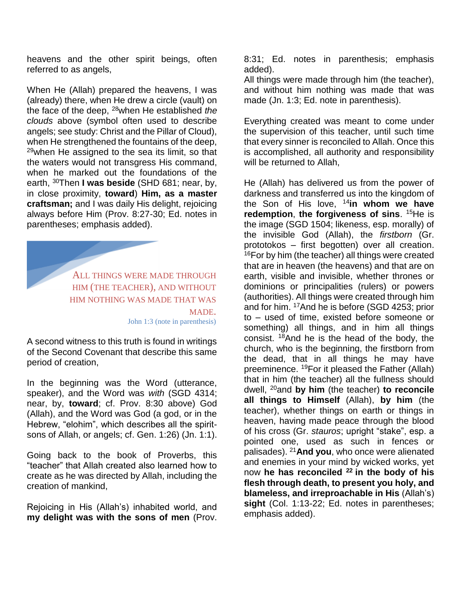heavens and the other spirit beings, often referred to as angels,

When He (Allah) prepared the heavens, I was (already) there, when He drew a circle (vault) on the face of the deep, <sup>28</sup>when He established *the clouds* above (symbol often used to describe angels; see study: Christ and the Pillar of Cloud), when He strengthened the fountains of the deep,  $29$ when He assigned to the sea its limit, so that the waters would not transgress His command, when he marked out the foundations of the earth, <sup>30</sup>Then **I was beside** (SHD 681; near, by, in close proximity, **toward**) **Him, as a master craftsman;** and I was daily His delight, rejoicing always before Him (Prov. 8:27-30; Ed. notes in parentheses; emphasis added).

> ALL THINGS WERE MADE THROUGH HIM (THE TEACHER), AND WITHOUT HIM NOTHING WAS MADE THAT WAS MADE. John 1:3 (note in parenthesis)

A second witness to this truth is found in writings of the Second Covenant that describe this same period of creation,

In the beginning was the Word (utterance, speaker), and the Word was *with* (SGD 4314; near, by, **toward**; cf. Prov. 8:30 above) God (Allah), and the Word was God (a god, or in the Hebrew, "elohim", which describes all the spiritsons of Allah, or angels; cf. Gen. 1:26) (Jn. 1:1).

Going back to the book of Proverbs, this "teacher" that Allah created also learned how to create as he was directed by Allah, including the creation of mankind,

Rejoicing in His (Allah's) inhabited world, and **my delight was with the sons of men** (Prov.

8:31; Ed. notes in parenthesis; emphasis added).

All things were made through him (the teacher), and without him nothing was made that was made (Jn. 1:3; Ed. note in parenthesis).

Everything created was meant to come under the supervision of this teacher, until such time that every sinner is reconciled to Allah. Once this is accomplished, all authority and responsibility will be returned to Allah,

He (Allah) has delivered us from the power of darkness and transferred us into the kingdom of the Son of His love, <sup>14</sup>**in whom we have redemption**, **the forgiveness of sins**. <sup>15</sup>He is the image (SGD 1504; likeness, esp. morally) of the invisible God (Allah), the *firstborn* (Gr. prototokos – first begotten) over all creation.  $16$ For by him (the teacher) all things were created that are in heaven (the heavens) and that are on earth, visible and invisible, whether thrones or dominions or principalities (rulers) or powers (authorities). All things were created through him and for him. <sup>17</sup>And he is before (SGD 4253; prior to – used of time, existed before someone or something) all things, and in him all things consist. <sup>18</sup>And he is the head of the body, the church, who is the beginning, the firstborn from the dead, that in all things he may have preeminence. <sup>19</sup>For it pleased the Father (Allah) that in him (the teacher) all the fullness should dwell, <sup>20</sup>and **by him** (the teacher) **to reconcile all things to Himself** (Allah), **by him** (the teacher), whether things on earth or things in heaven, having made peace through the blood of his cross (Gr. *stauros*; upright "stake", esp. a pointed one, used as such in fences or palisades). <sup>21</sup>**And you**, who once were alienated and enemies in your mind by wicked works, yet now **he has reconciled <sup>22</sup>in the body of his flesh through death, to present you holy, and blameless, and irreproachable in His** (Allah's) **sight** (Col. 1:13-22; Ed. notes in parentheses; emphasis added).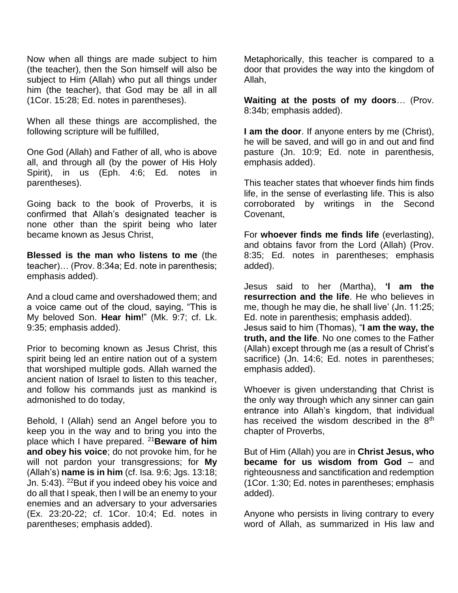Now when all things are made subject to him (the teacher), then the Son himself will also be subject to Him (Allah) who put all things under him (the teacher), that God may be all in all (1Cor. 15:28; Ed. notes in parentheses).

When all these things are accomplished, the following scripture will be fulfilled,

One God (Allah) and Father of all, who is above all, and through all (by the power of His Holy Spirit), in us (Eph. 4:6; Ed. notes in parentheses).

Going back to the book of Proverbs, it is confirmed that Allah's designated teacher is none other than the spirit being who later became known as Jesus Christ,

**Blessed is the man who listens to me** (the teacher)… (Prov. 8:34a; Ed. note in parenthesis; emphasis added).

And a cloud came and overshadowed them; and a voice came out of the cloud, saying, "This is My beloved Son. **Hear him**!" (Mk. 9:7; cf. Lk. 9:35; emphasis added).

Prior to becoming known as Jesus Christ, this spirit being led an entire nation out of a system that worshiped multiple gods. Allah warned the ancient nation of Israel to listen to this teacher, and follow his commands just as mankind is admonished to do today,

Behold, I (Allah) send an Angel before you to keep you in the way and to bring you into the place which I have prepared. <sup>21</sup>**Beware of him and obey his voice**; do not provoke him, for he will not pardon your transgressions; for **My** (Allah's) **name is in him** (cf. Isa. 9:6; Jgs. 13:18; Jn. 5:43). <sup>22</sup>But if you indeed obey his voice and do all that I speak, then I will be an enemy to your enemies and an adversary to your adversaries (Ex. 23:20-22; cf. 1Cor. 10:4; Ed. notes in parentheses; emphasis added).

Metaphorically, this teacher is compared to a door that provides the way into the kingdom of Allah,

**Waiting at the posts of my doors**… (Prov. 8:34b; emphasis added).

**I am the door**. If anyone enters by me (Christ), he will be saved, and will go in and out and find pasture (Jn. 10:9; Ed. note in parenthesis, emphasis added).

This teacher states that whoever finds him finds life, in the sense of everlasting life. This is also corroborated by writings in the Second Covenant,

For **whoever finds me finds life** (everlasting), and obtains favor from the Lord (Allah) (Prov. 8:35; Ed. notes in parentheses; emphasis added).

Jesus said to her (Martha), **'I am the resurrection and the life**. He who believes in me, though he may die, he shall live' (Jn. 11:25; Ed. note in parenthesis; emphasis added).

Jesus said to him (Thomas), "**I am the way, the truth, and the life**. No one comes to the Father (Allah) except through me (as a result of Christ's sacrifice) (Jn. 14:6; Ed. notes in parentheses; emphasis added).

Whoever is given understanding that Christ is the only way through which any sinner can gain entrance into Allah's kingdom, that individual has received the wisdom described in the 8<sup>th</sup> chapter of Proverbs,

But of Him (Allah) you are in **Christ Jesus, who became for us wisdom from God** – and righteousness and sanctification and redemption (1Cor. 1:30; Ed. notes in parentheses; emphasis added).

Anyone who persists in living contrary to every word of Allah, as summarized in His law and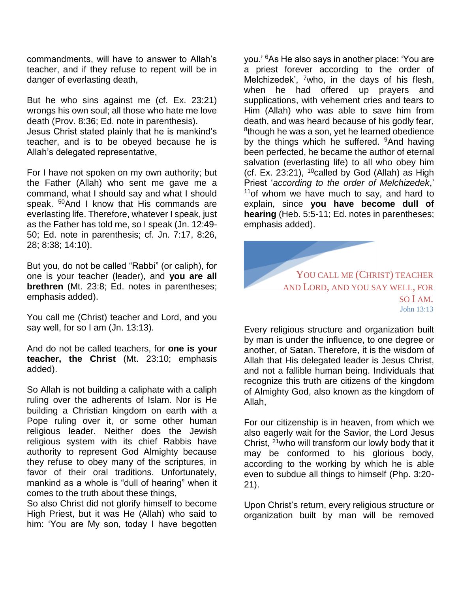commandments, will have to answer to Allah's teacher, and if they refuse to repent will be in danger of everlasting death,

But he who sins against me (cf. Ex. 23:21) wrongs his own soul; all those who hate me love death (Prov. 8:36; Ed. note in parenthesis).

Jesus Christ stated plainly that he is mankind's teacher, and is to be obeyed because he is Allah's delegated representative,

For I have not spoken on my own authority; but the Father (Allah) who sent me gave me a command, what I should say and what I should speak. <sup>50</sup>And I know that His commands are everlasting life. Therefore, whatever I speak, just as the Father has told me, so I speak (Jn. 12:49- 50; Ed. note in parenthesis; cf. Jn. 7:17, 8:26, 28; 8:38; 14:10).

But you, do not be called "Rabbi" (or caliph), for one is your teacher (leader), and **you are all brethren** (Mt. 23:8; Ed. notes in parentheses; emphasis added).

You call me (Christ) teacher and Lord, and you say well, for so I am (Jn. 13:13).

And do not be called teachers, for **one is your teacher, the Christ** (Mt. 23:10; emphasis added).

So Allah is not building a caliphate with a caliph ruling over the adherents of Islam. Nor is He building a Christian kingdom on earth with a Pope ruling over it, or some other human religious leader. Neither does the Jewish religious system with its chief Rabbis have authority to represent God Almighty because they refuse to obey many of the scriptures, in favor of their oral traditions. Unfortunately, mankind as a whole is "dull of hearing" when it comes to the truth about these things,

So also Christ did not glorify himself to become High Priest, but it was He (Allah) who said to him: 'You are My son, today I have begotten

you.' <sup>6</sup>As He also says in another place: 'You are a priest forever according to the order of Melchizedek', <sup>7</sup>who, in the days of his flesh, when he had offered up prayers and supplications, with vehement cries and tears to Him (Allah) who was able to save him from death, and was heard because of his godly fear, <sup>8</sup>though he was a son, yet he learned obedience by the things which he suffered. <sup>9</sup>And having been perfected, he became the author of eternal salvation (everlasting life) to all who obey him (cf. Ex. 23:21),  $10$ called by God (Allah) as High Priest '*according to the order of Melchizedek*,'  $11$ of whom we have much to say, and hard to explain, since **you have become dull of hearing** (Heb. 5:5-11; Ed. notes in parentheses; emphasis added).



Every religious structure and organization built by man is under the influence, to one degree or another, of Satan. Therefore, it is the wisdom of Allah that His delegated leader is Jesus Christ, and not a fallible human being. Individuals that recognize this truth are citizens of the kingdom of Almighty God, also known as the kingdom of Allah,

For our citizenship is in heaven, from which we also eagerly wait for the Savior, the Lord Jesus Christ, <sup>21</sup>who will transform our lowly body that it may be conformed to his glorious body, according to the working by which he is able even to subdue all things to himself (Php. 3:20- 21).

Upon Christ's return, every religious structure or organization built by man will be removed